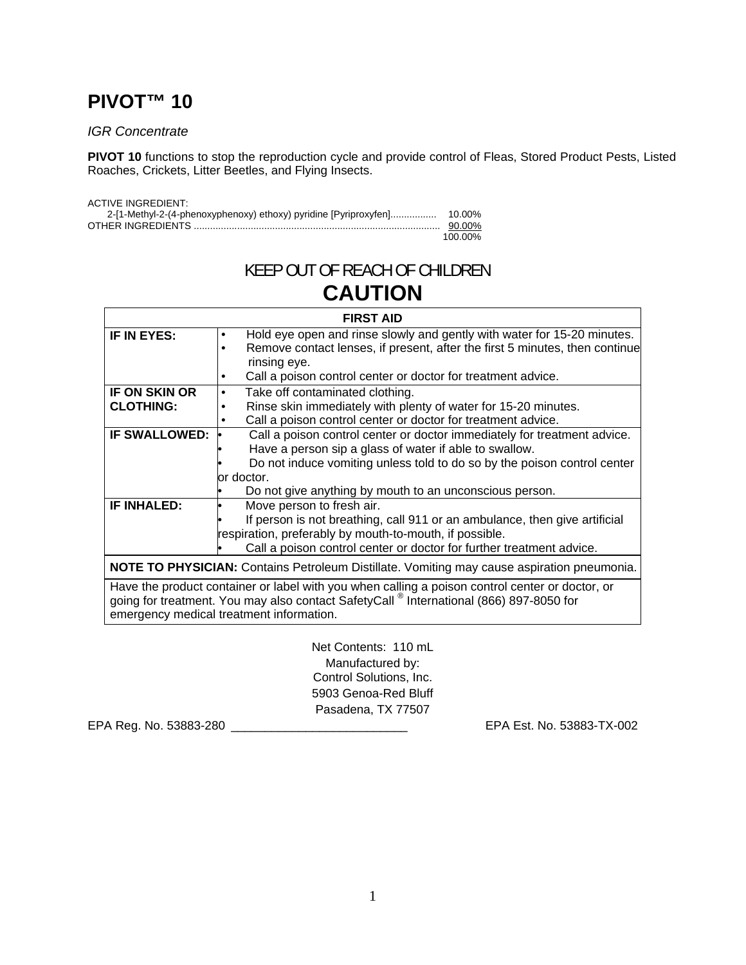# **PIVOT™ 10**

# *IGR Concentrate*

**PIVOT 10** functions to stop the reproduction cycle and provide control of Fleas, Stored Product Pests, Listed Roaches, Crickets, Litter Beetles, and Flying Insects.

| <b>ACTIVE INGREDIENT:</b> |         |
|---------------------------|---------|
|                           |         |
|                           | 90.00%  |
|                           | 100.00% |

# KEEP OUT OF REACH OF CHILDREN **CAUTION**

| <b>FIRST AID</b>                                                                                   |                                                                                                 |  |  |
|----------------------------------------------------------------------------------------------------|-------------------------------------------------------------------------------------------------|--|--|
| IF IN EYES:                                                                                        | Hold eye open and rinse slowly and gently with water for 15-20 minutes.<br>٠                    |  |  |
|                                                                                                    | Remove contact lenses, if present, after the first 5 minutes, then continue                     |  |  |
|                                                                                                    | rinsing eye.                                                                                    |  |  |
|                                                                                                    | Call a poison control center or doctor for treatment advice.                                    |  |  |
| <b>IF ON SKIN OR</b>                                                                               | Take off contaminated clothing.<br>$\bullet$                                                    |  |  |
| <b>CLOTHING:</b>                                                                                   | Rinse skin immediately with plenty of water for 15-20 minutes.                                  |  |  |
|                                                                                                    | Call a poison control center or doctor for treatment advice.                                    |  |  |
| <b>IF SWALLOWED:</b>                                                                               | Call a poison control center or doctor immediately for treatment advice.                        |  |  |
|                                                                                                    | Have a person sip a glass of water if able to swallow.                                          |  |  |
|                                                                                                    | Do not induce vomiting unless told to do so by the poison control center                        |  |  |
| or doctor.                                                                                         |                                                                                                 |  |  |
|                                                                                                    | Do not give anything by mouth to an unconscious person.                                         |  |  |
| <b>IF INHALED:</b>                                                                                 | Move person to fresh air.                                                                       |  |  |
|                                                                                                    | If person is not breathing, call 911 or an ambulance, then give artificial                      |  |  |
|                                                                                                    | respiration, preferably by mouth-to-mouth, if possible.                                         |  |  |
|                                                                                                    | Call a poison control center or doctor for further treatment advice.                            |  |  |
| <b>NOTE TO PHYSICIAN:</b> Contains Petroleum Distillate. Vomiting may cause aspiration pneumonia.  |                                                                                                 |  |  |
|                                                                                                    | Have the product container or label with you when calling a poison control center or doctor, or |  |  |
| going for treatment. You may also contact SafetyCall <sup>®</sup> International (866) 897-8050 for |                                                                                                 |  |  |
| emergency medical treatment information.                                                           |                                                                                                 |  |  |
|                                                                                                    |                                                                                                 |  |  |

Net Contents: 110 mL Manufactured by: Control Solutions, Inc. 5903 Genoa-Red Bluff Pasadena, TX 77507

EPA Reg. No. 53883-280 \_\_\_\_\_\_\_\_\_\_\_\_\_\_\_\_\_\_\_\_\_\_\_\_\_\_ EPA Est. No. 53883-TX-002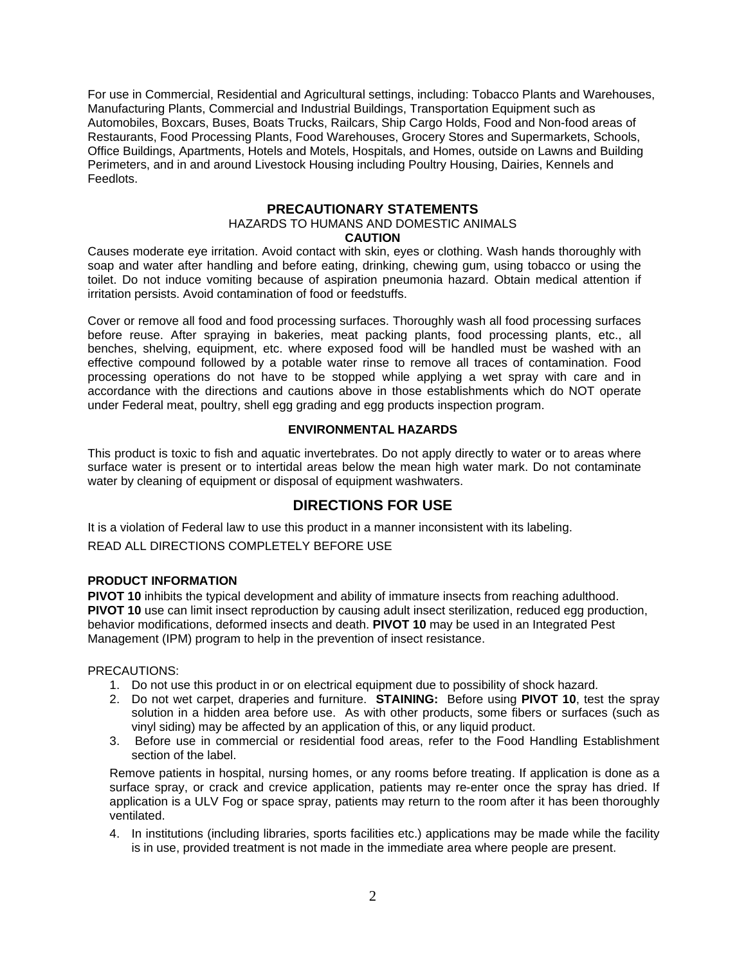For use in Commercial, Residential and Agricultural settings, including: Tobacco Plants and Warehouses, Manufacturing Plants, Commercial and Industrial Buildings, Transportation Equipment such as Automobiles, Boxcars, Buses, Boats Trucks, Railcars, Ship Cargo Holds, Food and Non-food areas of Restaurants, Food Processing Plants, Food Warehouses, Grocery Stores and Supermarkets, Schools, Office Buildings, Apartments, Hotels and Motels, Hospitals, and Homes, outside on Lawns and Building Perimeters, and in and around Livestock Housing including Poultry Housing, Dairies, Kennels and Feedlots.

# **PRECAUTIONARY STATEMENTS**

# HAZARDS TO HUMANS AND DOMESTIC ANIMALS

#### **CAUTION**

Causes moderate eye irritation. Avoid contact with skin, eyes or clothing. Wash hands thoroughly with soap and water after handling and before eating, drinking, chewing gum, using tobacco or using the toilet. Do not induce vomiting because of aspiration pneumonia hazard. Obtain medical attention if irritation persists. Avoid contamination of food or feedstuffs.

Cover or remove all food and food processing surfaces. Thoroughly wash all food processing surfaces before reuse. After spraying in bakeries, meat packing plants, food processing plants, etc., all benches, shelving, equipment, etc. where exposed food will be handled must be washed with an effective compound followed by a potable water rinse to remove all traces of contamination. Food processing operations do not have to be stopped while applying a wet spray with care and in accordance with the directions and cautions above in those establishments which do NOT operate under Federal meat, poultry, shell egg grading and egg products inspection program.

# **ENVIRONMENTAL HAZARDS**

This product is toxic to fish and aquatic invertebrates. Do not apply directly to water or to areas where surface water is present or to intertidal areas below the mean high water mark. Do not contaminate water by cleaning of equipment or disposal of equipment washwaters.

# **DIRECTIONS FOR USE**

It is a violation of Federal law to use this product in a manner inconsistent with its labeling. READ ALL DIRECTIONS COMPLETELY BEFORE USE

# **PRODUCT INFORMATION**

**PIVOT 10** inhibits the typical development and ability of immature insects from reaching adulthood. **PIVOT 10** use can limit insect reproduction by causing adult insect sterilization, reduced egg production, behavior modifications, deformed insects and death. **PIVOT 10** may be used in an Integrated Pest Management (IPM) program to help in the prevention of insect resistance.

#### PRECAUTIONS:

- 1. Do not use this product in or on electrical equipment due to possibility of shock hazard*.*
- 2. Do not wet carpet, draperies and furniture. **STAINING:** Before using **PIVOT 10**, test the spray solution in a hidden area before use. As with other products, some fibers or surfaces (such as vinyl siding) may be affected by an application of this, or any liquid product.
- 3. Before use in commercial or residential food areas, refer to the Food Handling Establishment section of the label.

Remove patients in hospital, nursing homes, or any rooms before treating. If application is done as a surface spray, or crack and crevice application, patients may re-enter once the spray has dried. If application is a ULV Fog or space spray, patients may return to the room after it has been thoroughly ventilated.

4. In institutions (including libraries, sports facilities etc.) applications may be made while the facility is in use, provided treatment is not made in the immediate area where people are present.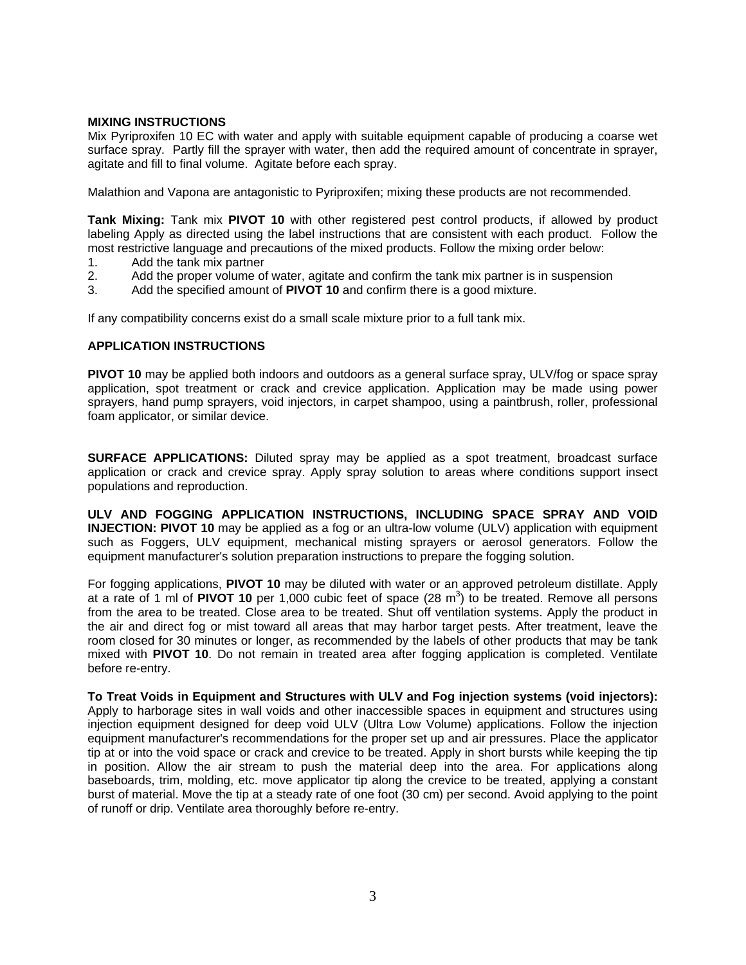### **MIXING INSTRUCTIONS**

Mix Pyriproxifen 10 EC with water and apply with suitable equipment capable of producing a coarse wet surface spray. Partly fill the sprayer with water, then add the required amount of concentrate in sprayer, agitate and fill to final volume. Agitate before each spray.

Malathion and Vapona are antagonistic to Pyriproxifen; mixing these products are not recommended.

**Tank Mixing:** Tank mix **PIVOT 10** with other registered pest control products, if allowed by product labeling Apply as directed using the label instructions that are consistent with each product. Follow the most restrictive language and precautions of the mixed products. Follow the mixing order below:

- 1. Add the tank mix partner
- 2. Add the proper volume of water, agitate and confirm the tank mix partner is in suspension
- 3. Add the specified amount of **PIVOT 10** and confirm there is a good mixture.

If any compatibility concerns exist do a small scale mixture prior to a full tank mix.

#### **APPLICATION INSTRUCTIONS**

**PIVOT 10** may be applied both indoors and outdoors as a general surface spray, ULV/fog or space spray application, spot treatment or crack and crevice application. Application may be made using power sprayers, hand pump sprayers, void injectors, in carpet shampoo, using a paintbrush, roller, professional foam applicator, or similar device.

**SURFACE APPLICATIONS:** Diluted spray may be applied as a spot treatment, broadcast surface application or crack and crevice spray. Apply spray solution to areas where conditions support insect populations and reproduction.

**ULV AND FOGGING APPLICATION INSTRUCTIONS, INCLUDING SPACE SPRAY AND VOID INJECTION: PIVOT 10** may be applied as a fog or an ultra-low volume (ULV) application with equipment such as Foggers, ULV equipment, mechanical misting sprayers or aerosol generators. Follow the equipment manufacturer's solution preparation instructions to prepare the fogging solution.

For fogging applications, **PIVOT 10** may be diluted with water or an approved petroleum distillate. Apply at a rate of 1 ml of **PIVOT 10** per 1,000 cubic feet of space  $(28 \text{ m}^3)$  to be treated. Remove all persons from the area to be treated. Close area to be treated. Shut off ventilation systems. Apply the product in the air and direct fog or mist toward all areas that may harbor target pests. After treatment, leave the room closed for 30 minutes or longer, as recommended by the labels of other products that may be tank mixed with **PIVOT 10**. Do not remain in treated area after fogging application is completed. Ventilate before re-entry.

**To Treat Voids in Equipment and Structures with ULV and Fog injection systems (void injectors):** Apply to harborage sites in wall voids and other inaccessible spaces in equipment and structures using injection equipment designed for deep void ULV (Ultra Low Volume) applications. Follow the injection equipment manufacturer's recommendations for the proper set up and air pressures. Place the applicator tip at or into the void space or crack and crevice to be treated. Apply in short bursts while keeping the tip in position. Allow the air stream to push the material deep into the area. For applications along baseboards, trim, molding, etc. move applicator tip along the crevice to be treated, applying a constant burst of material. Move the tip at a steady rate of one foot (30 cm) per second. Avoid applying to the point of runoff or drip. Ventilate area thoroughly before re-entry.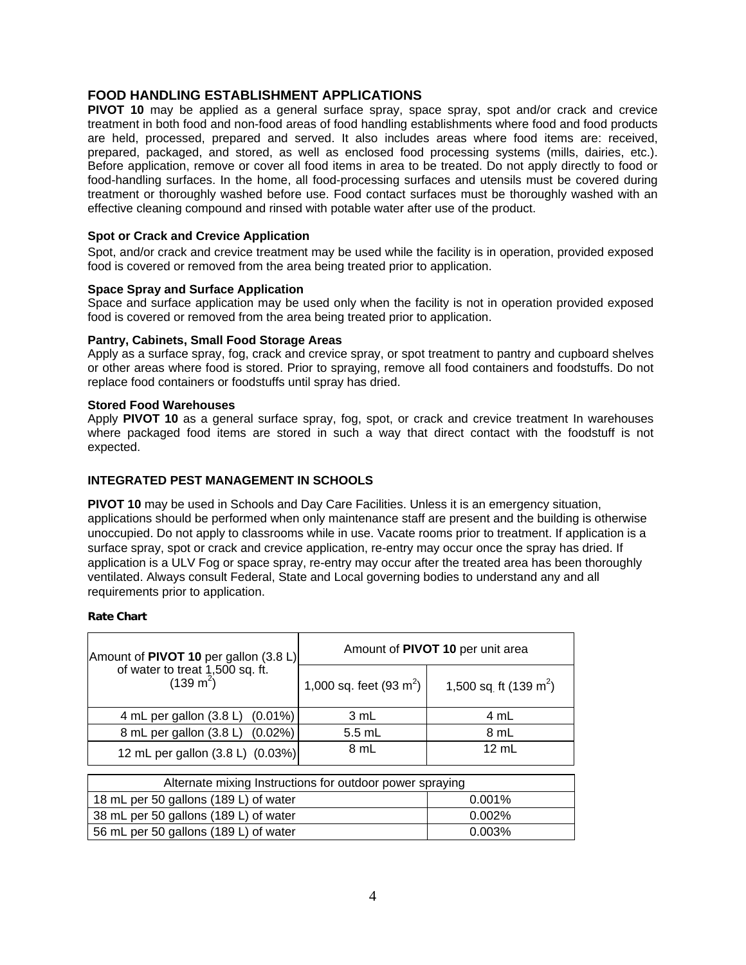# **FOOD HANDLING ESTABLISHMENT APPLICATIONS**

**PIVOT 10** may be applied as a general surface spray, space spray, spot and/or crack and crevice treatment in both food and non-food areas of food handling establishments where food and food products are held, processed, prepared and served. It also includes areas where food items are: received, prepared, packaged, and stored, as well as enclosed food processing systems (mills, dairies, etc.). Before application, remove or cover all food items in area to be treated. Do not apply directly to food or food-handling surfaces. In the home, all food-processing surfaces and utensils must be covered during treatment or thoroughly washed before use. Food contact surfaces must be thoroughly washed with an effective cleaning compound and rinsed with potable water after use of the product.

**Spot or Crack and Crevice Application**<br> **Spot, and/or crack and crevice treatment may be used while the facility is in operation, provided exposed** food is covered or removed from the area being treated prior to application.

# **Space Spray and Surface Application**

Space and surface application may be used only when the facility is not in operation provided exposed food is covered or removed from the area being treated prior to application.

#### **Pantry, Cabinets, Small Food Storage Areas**

Apply as a surface spray, fog, crack and crevice spray, or spot treatment to pantry and cupboard shelves or other areas where food is stored. Prior to spraying, remove all food containers and foodstuffs. Do not replace food containers or foodstuffs until spray has dried.

#### **Stored Food Warehouses**

Apply **PIVOT 10** as a general surface spray, fog, spot, or crack and crevice treatment In warehouses where packaged food items are stored in such a way that direct contact with the foodstuff is not expected.

### **INTEGRATED PEST MANAGEMENT IN SCHOOLS**

**PIVOT 10** may be used in Schools and Day Care Facilities. Unless it is an emergency situation, applications should be performed when only maintenance staff are present and the building is otherwise unoccupied. Do not apply to classrooms while in use. Vacate rooms prior to treatment. If application is a surface spray, spot or crack and crevice application, re-entry may occur once the spray has dried. If application is a ULV Fog or space spray, re-entry may occur after the treated area has been thoroughly ventilated. Always consult Federal, State and Local governing bodies to understand any and all requirements prior to application.

### **Rate Chart**

|  |                                                                                                                  | Amount of PIVOT 10 per unit area  |                                   |
|--|------------------------------------------------------------------------------------------------------------------|-----------------------------------|-----------------------------------|
|  | Amount of <b>PIVOT 10</b> per gallon $(3.8 \text{ L})$<br>of water to treat 1,500 sq. ft.<br>$(139 \text{ m}^2)$ | 1,000 sq. feet $(93 \text{ m}^2)$ | 1,500 sq ft (139 m <sup>2</sup> ) |
|  | 4 mL per gallon (3.8 L) (0.01%)                                                                                  | 3 mL                              | 4 mL                              |
|  | 8 mL per gallon (3.8 L) (0.02%)                                                                                  | $5.5$ mL                          | 8 mL                              |
|  | 12 mL per gallon (3.8 L) (0.03%)                                                                                 | 8 mL                              | $12$ mL                           |

| Alternate mixing Instructions for outdoor power spraying |           |  |
|----------------------------------------------------------|-----------|--|
| 18 mL per 50 gallons (189 L) of water                    | $0.001\%$ |  |
| 38 mL per 50 gallons (189 L) of water                    | $0.002\%$ |  |
| 56 mL per 50 gallons (189 L) of water                    | 0.003%    |  |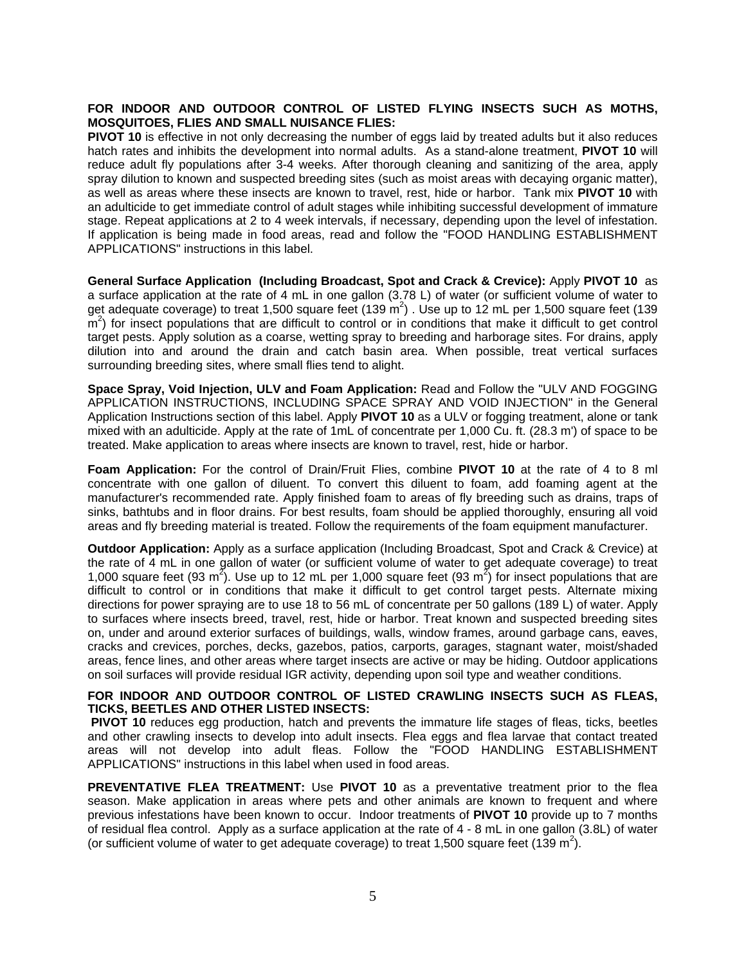### **FOR INDOOR AND OUTDOOR CONTROL OF LISTED FLYING INSECTS SUCH AS MOTHS, MOSQUITOES, FLIES AND SMALL NUISANCE FLIES:**

**PIVOT 10** is effective in not only decreasing the number of eggs laid by treated adults but it also reduces hatch rates and inhibits the development into normal adults. As a stand-alone treatment, **PIVOT 10** will reduce adult fly populations after 3-4 weeks. After thorough cleaning and sanitizing of the area, apply spray dilution to known and suspected breeding sites (such as moist areas with decaying organic matter), as well as areas where these insects are known to travel, rest, hide or harbor. Tank mix **PIVOT 10** with an adulticide to get immediate control of adult stages while inhibiting successful development of immature stage. Repeat applications at 2 to 4 week intervals, if necessary, depending upon the level of infestation. If application is being made in food areas, read and follow the "FOOD HANDLING ESTABLISHMENT APPLICATIONS" instructions in this label.

**General Surface Application (Including Broadcast, Spot and Crack & Crevice):** Apply **PIVOT 10** as a surface application at the rate of 4 mL in one gallon (3.78 L) of water (or sufficient volume of water to get adequate coverage) to treat 1,500 square feet (139 m<sup>2</sup>). Use up to 12 mL per 1,500 square feet (139  $\mathsf{m}^2$ ) for insect populations that are difficult to control or in conditions that make it difficult to get control target pests. Apply solution as a coarse, wetting spray to breeding and harborage sites. For drains, apply dilution into and around the drain and catch basin area. When possible, treat vertical surfaces surrounding breeding sites, where small flies tend to alight.

**Space Spray, Void Injection, ULV and Foam Application:** Read and Follow the "ULV AND FOGGING APPLICATION INSTRUCTIONS, INCLUDING SPACE SPRAY AND VOID INJECTION" in the General Application Instructions section of this label. Apply **PIVOT 10** as a ULV or fogging treatment, alone or tank mixed with an adulticide. Apply at the rate of 1mL of concentrate per 1,000 Cu. ft. (28.3 m') of space to be treated. Make application to areas where insects are known to travel, rest, hide or harbor.

**Foam Application:** For the control of Drain/Fruit Flies, combine **PIVOT 10** at the rate of 4 to 8 ml concentrate with one gallon of diluent. To convert this diluent to foam, add foaming agent at the manufacturer's recommended rate. Apply finished foam to areas of fly breeding such as drains, traps of sinks, bathtubs and in floor drains. For best results, foam should be applied thoroughly, ensuring all void areas and fly breeding material is treated. Follow the requirements of the foam equipment manufacturer.

**Outdoor Application:** Apply as a surface application (Including Broadcast, Spot and Crack & Crevice) at the rate of 4 mL in one gallon of water (or sufficient volume of water to get adequate coverage) to treat 1,000 square feet (93 m<sup>2</sup>). Use up to 12 mL per 1,000 square feet (93 m<sup>2</sup>) for insect populations that are difficult to control or in conditions that make it difficult to get control target pests. Alternate mixing directions for power spraying are to use 18 to 56 mL of concentrate per 50 gallons (189 L) of water. Apply to surfaces where insects breed, travel, rest, hide or harbor. Treat known and suspected breeding sites on, under and around exterior surfaces of buildings, walls, window frames, around garbage cans, eaves, cracks and crevices, porches, decks, gazebos, patios, carports, garages, stagnant water, moist/shaded areas, fence lines, and other areas where target insects are active or may be hiding. Outdoor applications on soil surfaces will provide residual IGR activity, depending upon soil type and weather conditions.

#### **FOR INDOOR AND OUTDOOR CONTROL OF LISTED CRAWLING INSECTS SUCH AS FLEAS, TICKS, BEETLES AND OTHER LISTED INSECTS:**

**PIVOT 10** reduces egg production, hatch and prevents the immature life stages of fleas, ticks, beetles and other crawling insects to develop into adult insects. Flea eggs and flea larvae that contact treated areas will not develop into adult fleas. Follow the "FOOD HANDLING ESTABLISHMENT APPLICATIONS" instructions in this label when used in food areas.

**PREVENTATIVE FLEA TREATMENT:** Use **PIVOT 10** as a preventative treatment prior to the flea season. Make application in areas where pets and other animals are known to frequent and where previous infestations have been known to occur. Indoor treatments of **PIVOT 10** provide up to 7 months of residual flea control. Apply as a surface application at the rate of 4 - 8 mL in one gallon (3.8L) of water (or sufficient volume of water to get adequate coverage) to treat 1,500 square feet (139 m<sup>2</sup>).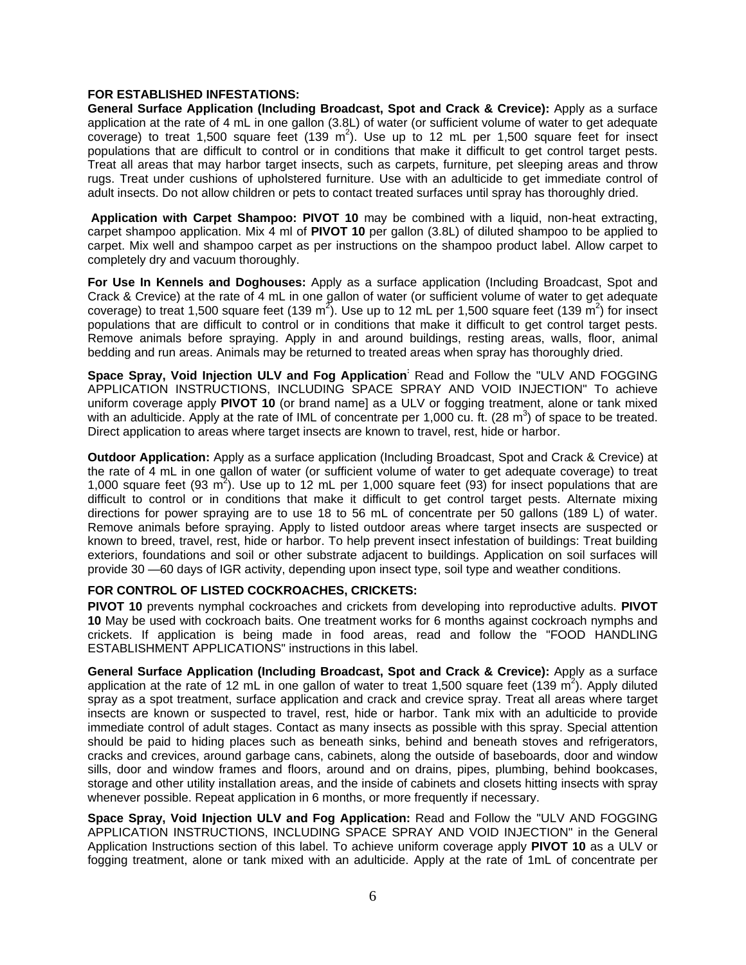#### **FOR ESTABLISHED INFESTATIONS:**

**General Surface Application (Including Broadcast, Spot and Crack & Crevice):** Apply as a surface application at the rate of 4 mL in one gallon (3.8L) of water (or sufficient volume of water to get adequate coverage) to treat 1,500 square feet  $(139 \text{ m}^2)$ . Use up to 12 mL per 1,500 square feet for insect populations that are difficult to control or in conditions that make it difficult to get control target pests. Treat all areas that may harbor target insects, such as carpets, furniture, pet sleeping areas and throw rugs. Treat under cushions of upholstered furniture. Use with an adulticide to get immediate control of adult insects. Do not allow children or pets to contact treated surfaces until spray has thoroughly dried.

 **Application with Carpet Shampoo: PIVOT 10** may be combined with a liquid, non-heat extracting, carpet shampoo application. Mix 4 ml of **PIVOT 10** per gallon (3.8L) of diluted shampoo to be applied to carpet. Mix well and shampoo carpet as per instructions on the shampoo product label. Allow carpet to completely dry and vacuum thoroughly.

**For Use In Kennels and Doghouses:** Apply as a surface application (Including Broadcast, Spot and Crack & Crevice) at the rate of 4 mL in one gallon of water (or sufficient volume of water to get adequate coverage) to treat 1,500 square feet (139 m<sup>2</sup>). Use up to 12 mL per 1,500 square feet (139 m<sup>2</sup>) for insect populations that are difficult to control or in conditions that make it difficult to get control target pests. Remove animals before spraying. Apply in and around buildings, resting areas, walls, floor, animal bedding and run areas. Animals may be returned to treated areas when spray has thoroughly dried.

**Space Spray, Void Injection ULV and Fog Application:** Read and Follow the "ULV AND FOGGING APPLICATION INSTRUCTIONS, INCLUDING SPACE SPRAY AND VOID INJECTION" To achieve uniform coverage apply **PIVOT 10** (or brand name] as a ULV or fogging treatment, alone or tank mixed with an adulticide. Apply at the rate of IML of concentrate per 1,000 cu. ft. (28  $m^3$ ) of space to be treated. Direct application to areas where target insects are known to travel, rest, hide or harbor.

**Outdoor Application:** Apply as a surface application (Including Broadcast, Spot and Crack & Crevice) at the rate of 4 mL in one gallon of water (or sufficient volume of water to get adequate coverage) to treat 1,000 square feet (93  $m^2$ ). Use up to 12 mL per 1,000 square feet (93) for insect populations that are difficult to control or in conditions that make it difficult to get control target pests. Alternate mixing directions for power spraying are to use 18 to 56 mL of concentrate per 50 gallons (189 L) of water. Remove animals before spraying. Apply to listed outdoor areas where target insects are suspected or known to breed, travel, rest, hide or harbor. To help prevent insect infestation of buildings: Treat building exteriors, foundations and soil or other substrate adjacent to buildings. Application on soil surfaces will provide 30 —60 days of IGR activity, depending upon insect type, soil type and weather conditions.

#### **FOR CONTROL OF LISTED COCKROACHES, CRICKETS:**

**PIVOT 10** prevents nymphal cockroaches and crickets from developing into reproductive adults. **PIVOT 10** May be used with cockroach baits. One treatment works for 6 months against cockroach nymphs and crickets. If application is being made in food areas, read and follow the "FOOD HANDLING ESTABLISHMENT APPLICATIONS" instructions in this label.

**General Surface Application (Including Broadcast, Spot and Crack & Crevice):** Apply as a surface application at the rate of 12 mL in one gallon of water to treat 1,500 square feet (139 m<sup>2</sup>). Apply diluted spray as a spot treatment, surface application and crack and crevice spray. Treat all areas where target insects are known or suspected to travel, rest, hide or harbor. Tank mix with an adulticide to provide immediate control of adult stages. Contact as many insects as possible with this spray. Special attention should be paid to hiding places such as beneath sinks, behind and beneath stoves and refrigerators, cracks and crevices, around garbage cans, cabinets, along the outside of baseboards, door and window sills, door and window frames and floors, around and on drains, pipes, plumbing, behind bookcases, storage and other utility installation areas, and the inside of cabinets and closets hitting insects with spray whenever possible. Repeat application in 6 months, or more frequently if necessary.

**Space Spray, Void Injection ULV and Fog Application:** Read and Follow the "ULV AND FOGGING APPLICATION INSTRUCTIONS, INCLUDING SPACE SPRAY AND VOID INJECTION" in the General Application Instructions section of this label. To achieve uniform coverage apply **PIVOT 10** as a ULV or fogging treatment, alone or tank mixed with an adulticide. Apply at the rate of 1mL of concentrate per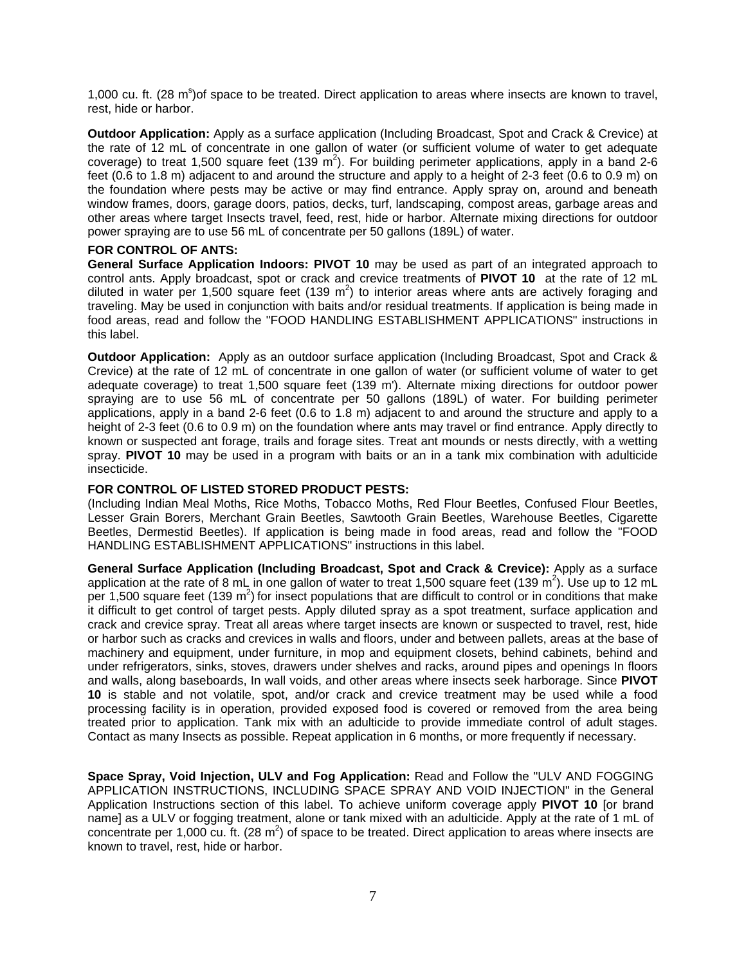1,000 cu. ft. (28 m<sup>s</sup>) of space to be treated. Direct application to areas where insects are known to travel, rest, hide or harbor.

**Outdoor Application:** Apply as a surface application (Including Broadcast, Spot and Crack & Crevice) at the rate of 12 mL of concentrate in one gallon of water (or sufficient volume of water to get adequate coverage) to treat 1,500 square feet (139 m<sup>2</sup>). For building perimeter applications, apply in a band 2-6 feet (0.6 to 1.8 m) adjacent to and around the structure and apply to a height of 2-3 feet (0.6 to 0.9 m) on the foundation where pests may be active or may find entrance. Apply spray on, around and beneath window frames, doors, garage doors, patios, decks, turf, landscaping, compost areas, garbage areas and other areas where target Insects travel, feed, rest, hide or harbor. Alternate mixing directions for outdoor power spraying are to use 56 mL of concentrate per 50 gallons (189L) of water.

#### **FOR CONTROL OF ANTS:**

**General Surface Application Indoors: PIVOT 10** may be used as part of an integrated approach to control ants. Apply broadcast, spot or crack and crevice treatments of **PIVOT 10** at the rate of 12 mL diluted in water per 1,500 square feet (139 m<sup>2</sup>) to interior areas where ants are actively foraging and traveling. May be used in conjunction with baits and/or residual treatments. If application is being made in food areas, read and follow the "FOOD HANDLING ESTABLISHMENT APPLICATIONS" instructions in this label.

**Outdoor Application:** Apply as an outdoor surface application (Including Broadcast, Spot and Crack & Crevice) at the rate of 12 mL of concentrate in one gallon of water (or sufficient volume of water to get adequate coverage) to treat 1,500 square feet (139 m'). Alternate mixing directions for outdoor power spraying are to use 56 mL of concentrate per 50 gallons (189L) of water. For building perimeter applications, apply in a band 2-6 feet (0.6 to 1.8 m) adjacent to and around the structure and apply to a height of 2-3 feet (0.6 to 0.9 m) on the foundation where ants may travel or find entrance. Apply directly to known or suspected ant forage, trails and forage sites. Treat ant mounds or nests directly, with a wetting spray. **PIVOT 10** may be used in a program with baits or an in a tank mix combination with adulticide insecticide.

#### **FOR CONTROL OF LISTED STORED PRODUCT PESTS:**

(Including Indian Meal Moths, Rice Moths, Tobacco Moths, Red Flour Beetles, Confused Flour Beetles, Lesser Grain Borers, Merchant Grain Beetles, Sawtooth Grain Beetles, Warehouse Beetles, Cigarette Beetles, Dermestid Beetles). If application is being made in food areas, read and follow the "FOOD HANDLING ESTABLISHMENT APPLICATIONS" instructions in this label.

**General Surface Application (Including Broadcast, Spot and Crack & Crevice):** Apply as a surface application at the rate of 8 mL in one gallon of water to treat 1,500 square feet (139 m<sup>2</sup>). Use up to 12 mL per 1,500 square feet (139  $m^2$ ) for insect populations that are difficult to control or in conditions that make it difficult to get control of target pests. Apply diluted spray as a spot treatment, surface application and crack and crevice spray. Treat all areas where target insects are known or suspected to travel, rest, hide or harbor such as cracks and crevices in walls and floors, under and between pallets, areas at the base of machinery and equipment, under furniture, in mop and equipment closets, behind cabinets, behind and under refrigerators, sinks, stoves, drawers under shelves and racks, around pipes and openings In floors and walls, along baseboards, In wall voids, and other areas where insects seek harborage. Since **PIVOT 10** is stable and not volatile, spot, and/or crack and crevice treatment may be used while a food processing facility is in operation, provided exposed food is covered or removed from the area being treated prior to application. Tank mix with an adulticide to provide immediate control of adult stages. Contact as many Insects as possible. Repeat application in 6 months, or more frequently if necessary.

**Space Spray, Void Injection, ULV and Fog Application:** Read and Follow the "ULV AND FOGGING APPLICATION INSTRUCTIONS, INCLUDING SPACE SPRAY AND VOID INJECTION" in the General Application Instructions section of this label. To achieve uniform coverage apply **PIVOT 10** [or brand name] as a ULV or fogging treatment, alone or tank mixed with an adulticide. Apply at the rate of 1 mL of concentrate per 1,000 cu. ft. (28  $m^2$ ) of space to be treated. Direct application to areas where insects are known to travel, rest, hide or harbor.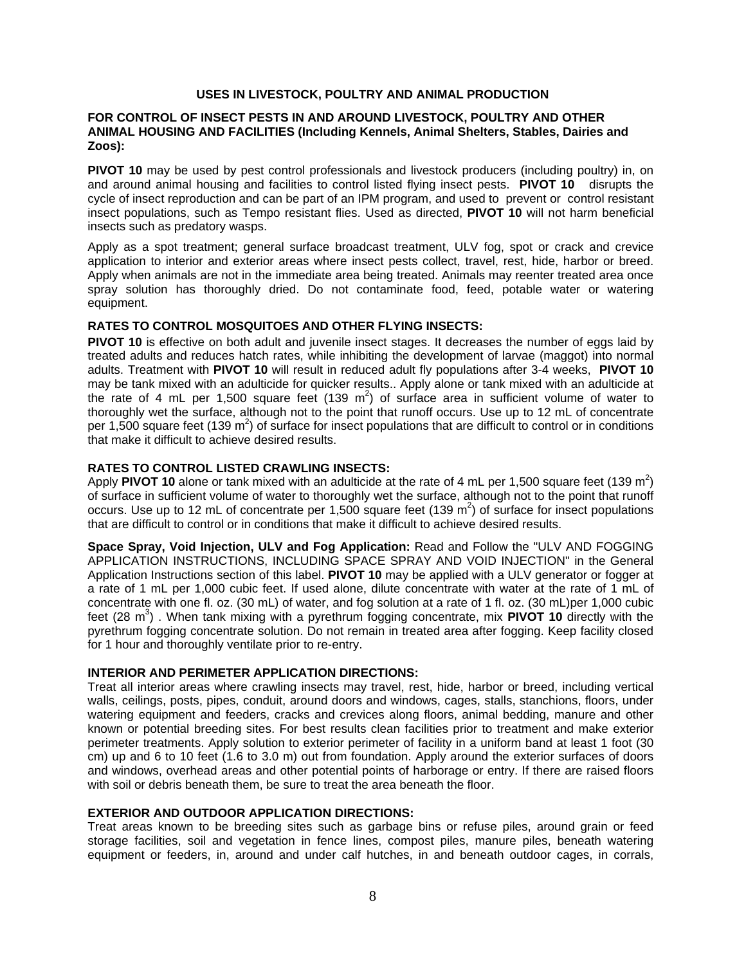#### **USES IN LIVESTOCK, POULTRY AND ANIMAL PRODUCTION**

### **FOR CONTROL OF INSECT PESTS IN AND AROUND LIVESTOCK, POULTRY AND OTHER ANIMAL HOUSING AND FACILITIES (Including Kennels, Animal Shelters, Stables, Dairies and Zoos):**

**PIVOT 10** may be used by pest control professionals and livestock producers (including poultry) in, on and around animal housing and facilities to control listed flying insect pests. **PIVOT 10** disrupts the cycle of insect reproduction and can be part of an IPM program, and used to prevent or control resistant insect populations, such as Tempo resistant flies. Used as directed, **PIVOT 10** will not harm beneficial insects such as predatory wasps.

Apply as a spot treatment; general surface broadcast treatment, ULV fog, spot or crack and crevice application to interior and exterior areas where insect pests collect, travel, rest, hide, harbor or breed. Apply when animals are not in the immediate area being treated. Animals may reenter treated area once spray solution has thoroughly dried. Do not contaminate food, feed, potable water or watering equipment.

#### **RATES TO CONTROL MOSQUITOES AND OTHER FLYING INSECTS:**

**PIVOT 10** is effective on both adult and juvenile insect stages. It decreases the number of eggs laid by treated adults and reduces hatch rates, while inhibiting the development of larvae (maggot) into normal adults. Treatment with **PIVOT 10** will result in reduced adult fly populations after 3-4 weeks, **PIVOT 10** may be tank mixed with an adulticide for quicker results.. Apply alone or tank mixed with an adulticide at the rate of 4 mL per 1,500 square feet (139 m<sup>2</sup>) of surface area in sufficient volume of water to thoroughly wet the surface, although not to the point that runoff occurs. Use up to 12 mL of concentrate per 1,500 square feet (139 m<sup>2</sup>) of surface for insect populations that are difficult to control or in conditions that make it difficult to achieve desired results.

#### **RATES TO CONTROL LISTED CRAWLING INSECTS:**

Apply PIVOT 10 alone or tank mixed with an adulticide at the rate of 4 mL per 1,500 square feet (139 m<sup>2</sup>) of surface in sufficient volume of water to thoroughly wet the surface, although not to the point that runoff occurs. Use up to 12 mL of concentrate per 1,500 square feet (139  $m^2$ ) of surface for insect populations that are difficult to control or in conditions that make it difficult to achieve desired results.

**Space Spray, Void Injection, ULV and Fog Application:** Read and Follow the "ULV AND FOGGING APPLICATION INSTRUCTIONS, INCLUDING SPACE SPRAY AND VOID INJECTION" in the General Application Instructions section of this label. **PIVOT 10** may be applied with a ULV generator or fogger at a rate of 1 mL per 1,000 cubic feet. If used alone, dilute concentrate with water at the rate of 1 mL of concentrate with one fl. oz. (30 mL) of water, and fog solution at a rate of 1 fl. oz. (30 mL)per 1,000 cubic feet (28 m<sup>3</sup>). When tank mixing with a pyrethrum fogging concentrate, mix PIVOT 10 directly with the pyrethrum fogging concentrate solution. Do not remain in treated area after fogging. Keep facility closed for 1 hour and thoroughly ventilate prior to re-entry.

#### **INTERIOR AND PERIMETER APPLICATION DIRECTIONS:**

Treat all interior areas where crawling insects may travel, rest, hide, harbor or breed, including vertical walls, ceilings, posts, pipes, conduit, around doors and windows, cages, stalls, stanchions, floors, under watering equipment and feeders, cracks and crevices along floors, animal bedding, manure and other known or potential breeding sites. For best results clean facilities prior to treatment and make exterior perimeter treatments. Apply solution to exterior perimeter of facility in a uniform band at least 1 foot (30 cm) up and 6 to 10 feet (1.6 to 3.0 m) out from foundation. Apply around the exterior surfaces of doors and windows, overhead areas and other potential points of harborage or entry. If there are raised floors with soil or debris beneath them, be sure to treat the area beneath the floor.

### **EXTERIOR AND OUTDOOR APPLICATION DIRECTIONS:**

Treat areas known to be breeding sites such as garbage bins or refuse piles, around grain or feed storage facilities, soil and vegetation in fence lines, compost piles, manure piles, beneath watering equipment or feeders, in, around and under calf hutches, in and beneath outdoor cages, in corrals,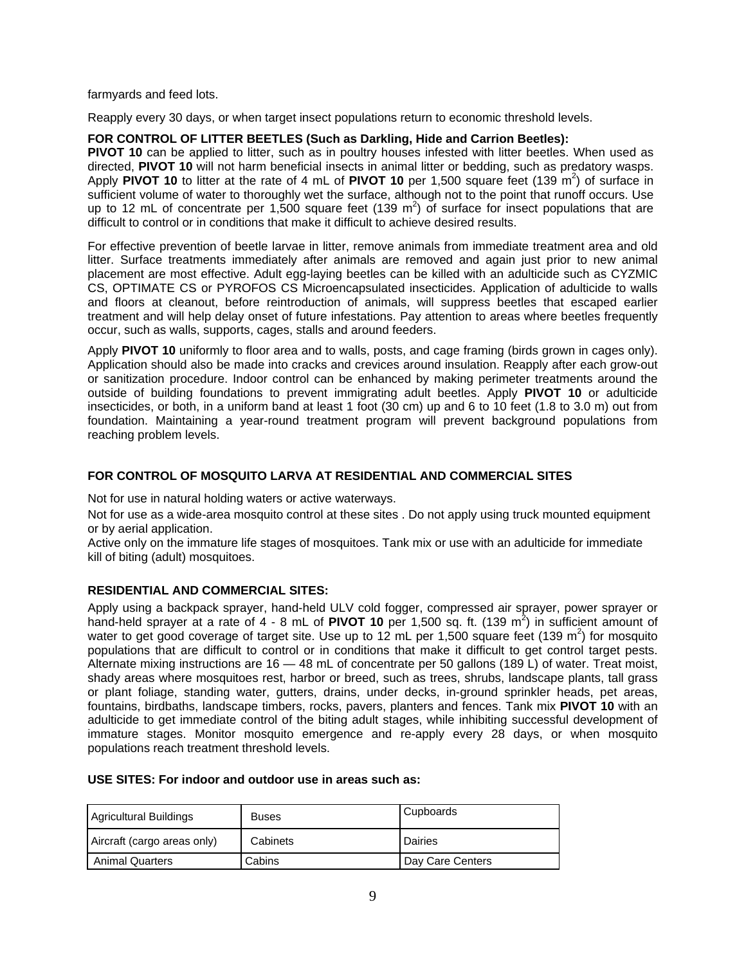farmyards and feed lots.

Reapply every 30 days, or when target insect populations return to economic threshold levels.

#### **FOR CONTROL OF LITTER BEETLES (Such as Darkling, Hide and Carrion Beetles):**

**PIVOT 10** can be applied to litter, such as in poultry houses infested with litter beetles. When used as directed, **PIVOT 10** will not harm beneficial insects in animal litter or bedding, such as predatory wasps. Apply PIVOT 10 to litter at the rate of 4 mL of PIVOT 10 per 1,500 square feet (139 m<sup>2</sup>) of surface in sufficient volume of water to thoroughly wet the surface, although not to the point that runoff occurs. Use up to 12 mL of concentrate per 1,500 square feet (139  $m^2$ ) of surface for insect populations that are difficult to control or in conditions that make it difficult to achieve desired results.

For effective prevention of beetle larvae in litter, remove animals from immediate treatment area and old litter. Surface treatments immediately after animals are removed and again just prior to new animal placement are most effective. Adult egg-laying beetles can be killed with an adulticide such as CYZMIC CS, OPTIMATE CS or PYROFOS CS Microencapsulated insecticides. Application of adulticide to walls and floors at cleanout, before reintroduction of animals, will suppress beetles that escaped earlier treatment and will help delay onset of future infestations. Pay attention to areas where beetles frequently occur, such as walls, supports, cages, stalls and around feeders.

Apply **PIVOT 10** uniformly to floor area and to walls, posts, and cage framing (birds grown in cages only). Application should also be made into cracks and crevices around insulation. Reapply after each grow-out or sanitization procedure. Indoor control can be enhanced by making perimeter treatments around the outside of building foundations to prevent immigrating adult beetles. Apply **PIVOT 10** or adulticide insecticides, or both, in a uniform band at least 1 foot (30 cm) up and 6 to 10 feet (1.8 to 3.0 m) out from foundation. Maintaining a year-round treatment program will prevent background populations from reaching problem levels.

#### **FOR CONTROL OF MOSQUITO LARVA AT RESIDENTIAL AND COMMERCIAL SITES**

Not for use in natural holding waters or active waterways.

Not for use as a wide-area mosquito control at these sites . Do not apply using truck mounted equipment or by aerial application.

Active only on the immature life stages of mosquitoes. Tank mix or use with an adulticide for immediate kill of biting (adult) mosquitoes.

### **RESIDENTIAL AND COMMERCIAL SITES:**

Apply using a backpack sprayer, hand-held ULV cold fogger, compressed air sprayer, power sprayer or hand-held sprayer at a rate of 4 - 8 mL of PIVOT 10 per 1,500 sq. ft. (139 m<sup>2</sup>) in sufficient amount of water to get good coverage of target site. Use up to 12 mL per 1,500 square feet (139 m<sup>2</sup>) for mosquito populations that are difficult to control or in conditions that make it difficult to get control target pests. Alternate mixing instructions are 16 — 48 mL of concentrate per 50 gallons (189 L) of water. Treat moist, shady areas where mosquitoes rest, harbor or breed, such as trees, shrubs, landscape plants, tall grass or plant foliage, standing water, gutters, drains, under decks, in-ground sprinkler heads, pet areas, fountains, birdbaths, landscape timbers, rocks, pavers, planters and fences. Tank mix **PIVOT 10** with an adulticide to get immediate control of the biting adult stages, while inhibiting successful development of immature stages. Monitor mosquito emergence and re-apply every 28 days, or when mosquito populations reach treatment threshold levels.

#### **USE SITES: For indoor and outdoor use in areas such as:**

| Agricultural Buildings      | <b>Buses</b> | Cupboards        |
|-----------------------------|--------------|------------------|
| Aircraft (cargo areas only) | Cabinets     | <b>Dairies</b>   |
| <b>Animal Quarters</b>      | Cabins       | Day Care Centers |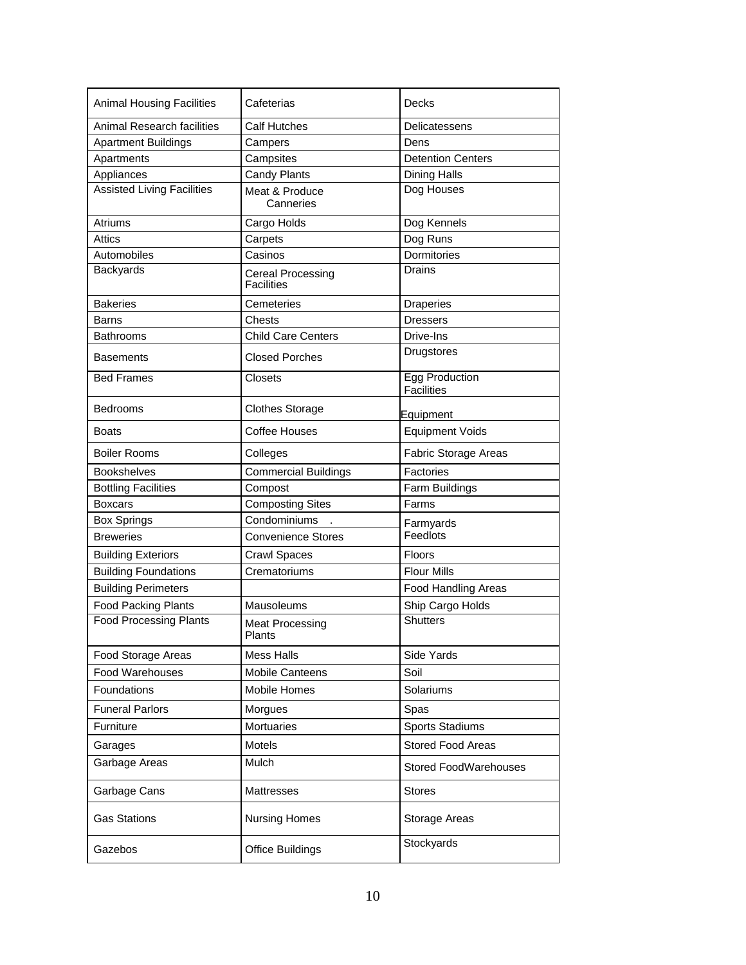| <b>Animal Housing Facilities</b>  | Cafeterias                                    | Decks                                      |
|-----------------------------------|-----------------------------------------------|--------------------------------------------|
| <b>Animal Research facilities</b> | Calf Hutches                                  | Delicatessens                              |
| <b>Apartment Buildings</b>        | Campers                                       | Dens                                       |
| Apartments                        | Campsites                                     | <b>Detention Centers</b>                   |
| Appliances                        | Candy Plants                                  | <b>Dining Halls</b>                        |
| <b>Assisted Living Facilities</b> | Meat & Produce<br>Canneries                   | Dog Houses                                 |
| <b>Atriums</b>                    | Cargo Holds                                   | Dog Kennels                                |
| Attics                            | Carpets                                       | Dog Runs                                   |
| Automobiles                       | Casinos                                       | Dormitories                                |
| <b>Backyards</b>                  | <b>Cereal Processing</b><br><b>Facilities</b> | <b>Drains</b>                              |
| <b>Bakeries</b>                   | Cemeteries                                    | <b>Draperies</b>                           |
| Barns                             | Chests                                        | <b>Dressers</b>                            |
| <b>Bathrooms</b>                  | <b>Child Care Centers</b>                     | Drive-Ins                                  |
| <b>Basements</b>                  | <b>Closed Porches</b>                         | Drugstores                                 |
| <b>Bed Frames</b>                 | <b>Closets</b>                                | <b>Egg Production</b><br><b>Facilities</b> |
| Bedrooms                          | <b>Clothes Storage</b>                        | Equipment                                  |
| <b>Boats</b>                      | Coffee Houses                                 | <b>Equipment Voids</b>                     |
| <b>Boiler Rooms</b>               | Colleges                                      | <b>Fabric Storage Areas</b>                |
| <b>Bookshelves</b>                | <b>Commercial Buildings</b>                   | Factories                                  |
| <b>Bottling Facilities</b>        | Compost                                       | Farm Buildings                             |
| <b>Boxcars</b>                    | <b>Composting Sites</b>                       | Farms                                      |
| <b>Box Springs</b>                | Condominiums                                  | Farmyards                                  |
| <b>Breweries</b>                  | <b>Convenience Stores</b>                     | Feedlots                                   |
| <b>Building Exteriors</b>         | <b>Crawl Spaces</b>                           | Floors                                     |
| <b>Building Foundations</b>       | Crematoriums                                  | <b>Flour Mills</b>                         |
| <b>Building Perimeters</b>        |                                               | <b>Food Handling Areas</b>                 |
| <b>Food Packing Plants</b>        | Mausoleums                                    | Ship Cargo Holds                           |
| <b>Food Processing Plants</b>     | <b>Meat Processing</b><br>Plants              | <b>Shutters</b>                            |
| Food Storage Areas                | <b>Mess Halls</b>                             | Side Yards                                 |
| Food Warehouses                   | <b>Mobile Canteens</b>                        | Soil                                       |
| Foundations                       | Mobile Homes                                  | Solariums                                  |
| <b>Funeral Parlors</b>            | Morgues                                       | Spas                                       |
| Furniture                         | Mortuaries                                    | Sports Stadiums                            |
| Garages                           | Motels                                        | <b>Stored Food Areas</b>                   |
| Garbage Areas                     | Mulch                                         | <b>Stored FoodWarehouses</b>               |
| Garbage Cans                      | Mattresses                                    | <b>Stores</b>                              |
| <b>Gas Stations</b>               | <b>Nursing Homes</b>                          | Storage Areas                              |
| Gazebos                           | <b>Office Buildings</b>                       | Stockyards                                 |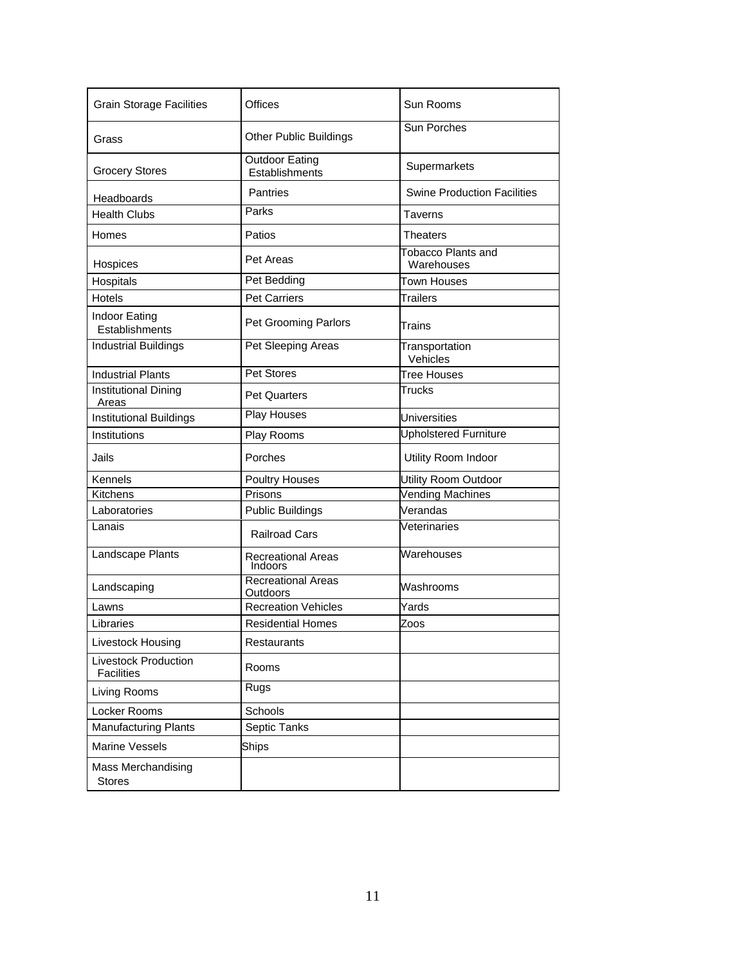| <b>Grain Storage Facilities</b>                  | Offices                                      | Sun Rooms                               |
|--------------------------------------------------|----------------------------------------------|-----------------------------------------|
| Grass                                            | <b>Other Public Buildings</b>                | Sun Porches                             |
| <b>Grocery Stores</b>                            | <b>Outdoor Eating</b><br>Establishments      | Supermarkets                            |
| Headboards                                       | Pantries                                     | <b>Swine Production Facilities</b>      |
| <b>Health Clubs</b>                              | Parks                                        | Taverns                                 |
| Homes                                            | Patios                                       | <b>Theaters</b>                         |
| Hospices                                         | Pet Areas                                    | <b>Tobacco Plants and</b><br>Warehouses |
| Hospitals                                        | Pet Bedding                                  | Town Houses                             |
| Hotels                                           | <b>Pet Carriers</b>                          | Trailers                                |
| Indoor Eating<br>Establishments                  | Pet Grooming Parlors                         | Trains                                  |
| <b>Industrial Buildings</b>                      | Pet Sleeping Areas                           | Transportation<br>Vehicles              |
| <b>Industrial Plants</b>                         | <b>Pet Stores</b>                            | <b>Tree Houses</b>                      |
| <b>Institutional Dining</b><br>Areas             | <b>Pet Quarters</b>                          | Trucks                                  |
| <b>Institutional Buildings</b>                   | Play Houses                                  | <b>Universities</b>                     |
| Institutions                                     | Play Rooms                                   | Upholstered Furniture                   |
| Jails                                            | Porches                                      | Utility Room Indoor                     |
| Kennels                                          | <b>Poultry Houses</b>                        | Utility Room Outdoor                    |
| Kitchens                                         | Prisons                                      | <b>Vending Machines</b>                 |
| Laboratories                                     | <b>Public Buildings</b>                      | Verandas                                |
| Lanais                                           | <b>Railroad Cars</b>                         | Veterinaries                            |
| Landscape Plants                                 | <b>Recreational Areas</b><br>Indoors         | Warehouses                              |
| Landscaping                                      | <b>Recreational Areas</b><br><b>Outdoors</b> | Washrooms                               |
| Lawns                                            | <b>Recreation Vehicles</b>                   | Yards                                   |
| Libraries                                        | <b>Residential Homes</b>                     | Zoos                                    |
| Livestock Housing                                | Restaurants                                  |                                         |
| <b>Livestock Production</b><br><b>Facilities</b> | Rooms                                        |                                         |
| Living Rooms                                     | Rugs                                         |                                         |
| Locker Rooms                                     | Schools                                      |                                         |
| <b>Manufacturing Plants</b>                      | Septic Tanks                                 |                                         |
| <b>Marine Vessels</b>                            | <b>Ships</b>                                 |                                         |
| Mass Merchandising<br><b>Stores</b>              |                                              |                                         |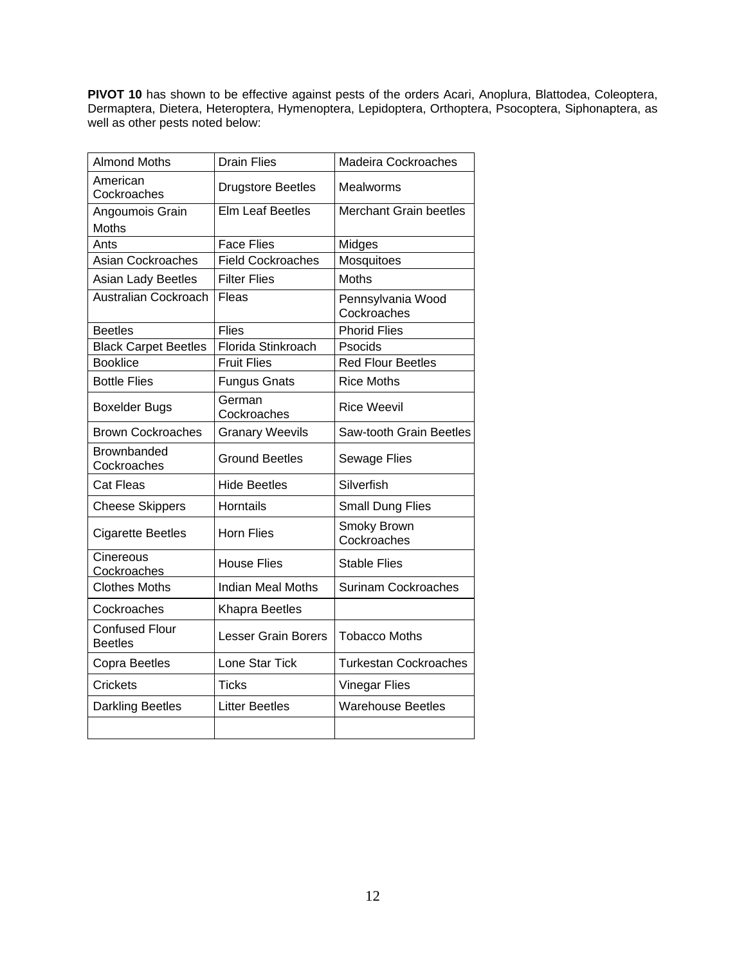**PIVOT 10** has shown to be effective against pests of the orders Acari, Anoplura, Blattodea, Coleoptera, Dermaptera, Dietera, Heteroptera, Hymenoptera, Lepidoptera, Orthoptera, Psocoptera, Siphonaptera, as well as other pests noted below:

| <b>Almond Moths</b>                     | <b>Drain Flies</b>         | Madeira Cockroaches              |
|-----------------------------------------|----------------------------|----------------------------------|
| American<br>Cockroaches                 | <b>Drugstore Beetles</b>   | Mealworms                        |
| Angoumois Grain                         | <b>Elm Leaf Beetles</b>    | <b>Merchant Grain beetles</b>    |
| Moths                                   |                            |                                  |
| Ants                                    | <b>Face Flies</b>          | Midges                           |
| <b>Asian Cockroaches</b>                | <b>Field Cockroaches</b>   | Mosquitoes                       |
| Asian Lady Beetles                      | <b>Filter Flies</b>        | <b>Moths</b>                     |
| Australian Cockroach                    | Fleas                      | Pennsylvania Wood<br>Cockroaches |
| <b>Beetles</b>                          | <b>Flies</b>               | <b>Phorid Flies</b>              |
| <b>Black Carpet Beetles</b>             | Florida Stinkroach         | Psocids                          |
| <b>Booklice</b>                         | <b>Fruit Flies</b>         | <b>Red Flour Beetles</b>         |
| <b>Bottle Flies</b>                     | <b>Fungus Gnats</b>        | <b>Rice Moths</b>                |
| <b>Boxelder Bugs</b>                    | German<br>Cockroaches      | <b>Rice Weevil</b>               |
| <b>Brown Cockroaches</b>                | <b>Granary Weevils</b>     | Saw-tooth Grain Beetles          |
| Brownbanded<br>Cockroaches              | <b>Ground Beetles</b>      | <b>Sewage Flies</b>              |
| <b>Cat Fleas</b>                        | <b>Hide Beetles</b>        | Silverfish                       |
| <b>Cheese Skippers</b>                  | <b>Horntails</b>           | <b>Small Dung Flies</b>          |
| <b>Cigarette Beetles</b>                | <b>Horn Flies</b>          | Smoky Brown<br>Cockroaches       |
| Cinereous<br>Cockroaches                | <b>House Flies</b>         | <b>Stable Flies</b>              |
| <b>Clothes Moths</b>                    | <b>Indian Meal Moths</b>   | <b>Surinam Cockroaches</b>       |
| Cockroaches                             | <b>Khapra Beetles</b>      |                                  |
| <b>Confused Flour</b><br><b>Beetles</b> | <b>Lesser Grain Borers</b> | <b>Tobacco Moths</b>             |
| Copra Beetles                           | Lone Star Tick             | <b>Turkestan Cockroaches</b>     |
| Crickets                                | <b>Ticks</b>               | <b>Vinegar Flies</b>             |
| <b>Darkling Beetles</b>                 | <b>Litter Beetles</b>      | <b>Warehouse Beetles</b>         |
|                                         |                            |                                  |